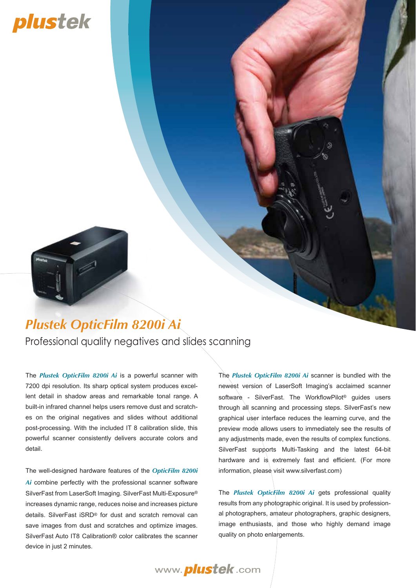# plustek



## *Plustek OpticFilm 8200i Ai*

Professional quality negatives and slides scanning

The *Plustek OpticFilm 8200i Ai* is a powerful scanner with 7200 dpi resolution. Its sharp optical system produces excellent detail in shadow areas and remarkable tonal range. A built-in infrared channel helps users remove dust and scratches on the original negatives and slides without additional post-processing. With the included IT 8 calibration slide, this powerful scanner consistently delivers accurate colors and detail.

The well-designed hardware features of the *OpticFilm 8200i Ai* combine perfectly with the professional scanner software SilverFast from LaserSoft Imaging. SilverFast Multi-Exposure® increases dynamic range, reduces noise and increases picture details. SilverFast iSRD® for dust and scratch removal can save images from dust and scratches and optimize images. SilverFast Auto IT8 Calibration® color calibrates the scanner device in just 2 minutes.

The *Plustek OpticFilm 8200i Ai* scanner is bundled with the newest version of LaserSoft Imaging's acclaimed scanner software - SilverFast. The WorkflowPilot® guides users through all scanning and processing steps. SilverFast's new graphical user interface reduces the learning curve, and the preview mode allows users to immediately see the results of any adjustments made, even the results of complex functions. SilverFast supports Multi-Tasking and the latest 64-bit hardware and is extremely fast and efficient. (For more information, please visit www.silverfast.com)

The *Plustek OpticFilm 8200i Ai* gets professional quality results from any photographic original. It is used by professional photographers, amateur photographers, graphic designers, image enthusiasts, and those who highly demand image quality on photo enlargements.

www. *plustek*.com